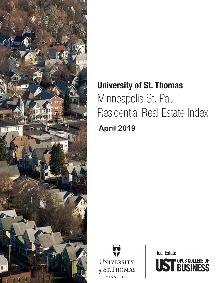

# University of St. Thomas Minneapolis St. Paul Residential Real Estate Index **April 2019**



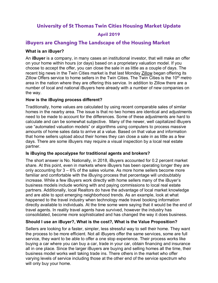**University of St Thomas Twin Cities Housing Market Update**

## **April 2019**

# **iBuyers are Changing The Landscape of the Housing Market**

#### **What is an iBuyer?**

An **iBuyer** is a company, in many cases an institutional investor, that will make an offer on your home within hours (or days) based on a proprietary valuation model. If you choose to accept the offer, you can close the sale in as little as a couple of days. The recent big news in the Twin Cities market is that last Monday Zillow began offering its Zillow Offers service to home sellers in the Twin Cities. The Twin Cities is the  $10<sup>th</sup>$  metro area in the nation where they are offering this service. In addition to Zillow there are a number of local and national iBuyers here already with a number of new companies on the way.

#### **How is the iBuying process different?**

Traditionally, home values are calculated by using recent comparable sales of similar homes in the nearby area. The issue is that no two homes are identical and adjustments need to be made to account for the differences. Some of these adjustments are hard to calculate and can be somewhat subjective. Many of the newer, well capitalized iBuyers use "automated valuation models" or algorithms using computers to process massive amounts of home sales data to arrive at a value. Based on that value and information that home sellers upload about their homes they can close a sale in as little as a few days. There are some iBuyers may require a visual inspection by a local real estate partner.

#### **[Is iBuying the apocalypse for traditional agents and brokers?](https://www.inman.com/2018/12/10/the-essential-guide-to-ibuyers/)**

The short answer is No. Nationally, in 2018, iBuyers accounted for 0.2 percent market share. At this point, even in markets where iBuyers has been operating longer they are only accounting for 3 – 6% of the sales volume. As more home sellers become more familiar and comfortable with the iBuying process that percentage will undoubtably increase. While a few iBuyers work directly with home sellers many of the iBuyer's business models include working with and paying commissions to local real estate partners. Additionally, local Realtors do have the advantage of local market knowledge and are able to spot emerging neighborhood trends. As an example, look at what happened to the travel industry when technology made travel booking information directly available to individuals. At the time some were saying that it would be the end of travel agents. In reality travel agents have survived, however the industry has consolidated, become more sophisticated and has changed the way it does business.

## **Should I use an iBuyer?, What is the cost?, What is the Value Proposition?**

Sellers are looking for a faster, simpler, less stressful way to sell their home. They want the process to be more efficient. Not all iBuyers offer the same services, some are full service, they want to be able to offer a one stop experience. Their process works like buying a car where you can buy a car, trade in your car, obtain financing and insurance all in one place. Since the larger iBuyers are buying and selling homes all the time, their business model works well taking trade ins. There others in the market who offer varying levels of service including those at the other end of the service spectrum who will only buy your home.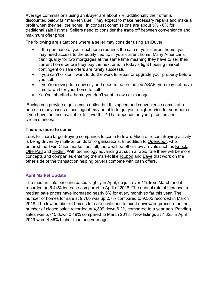Average commissions using an iBuyer are about 7%, additionally their offer is discounted below fair market value. They expect to make necessary repairs and make a profit when they sell the home. In contrast commissions are about 5% - 6% for traditional sale listings. Sellers need to consider the trade off between convenience and maximum offer price.

The following are situations where a seller may consider using an iBuyer;

- If the purchase of your next home requires the sale of your current home, you may need access to the equity tied up in your current home. Many Americans can't quality for two mortgages at the same time meaning they have to sell their current home before they buy the next one. In today's tight housing market contingent on sale offers are rarely successful.
- If you can't or don't want to do the work to repair or upgrade your property before you sell.
- If you're moving to a new city and need to be on the job ASAP, you may not have time to wait for your home to sell
- You've inherited a home you don't want to own or manage

iBuying can provide a quick cash option but this speed and convenience comes at a price. In many cases a local agent may be able to get you a higher price for your home if you have the time available. Is it worth it? That depends on your priorities and circumstances.

#### **There is more to come**

Look for more large iBuying companies to come to town. Much of recent iBuying activity is being driven by multi-billion dollar organizations. In addition to Opendoor, who entered the Twin Cities market last fall, there will be other new arrivals such as Knock, OfferPad and Redfin. With technology advancing at such a rapid rate there will be more concepts and companies entering the market like Ribbon and Eave that work on the other side of the transaction helping buyers compete with cash offers.

## **April Market Update**

The median sale price increased slightly in April, up just over 1% from March and it recorded an 5.44% increase compared to April of 2018. The annual rate of increase in median sale prices have increased nearly 6% for every month so far this year. The number of homes for sale at 9,760 was up 2.7% compared to 9,505 recorded in March 2018. The low number of homes for sale continues to exert downward pressure on the number of closed sales recorded at 4,399 down 6.2% compared to a year ago. Pending sales was 5,715 down 0.19% compared to March 2018. New listings at 7,325 in April 2019 were 4.86% higher than one year ago.